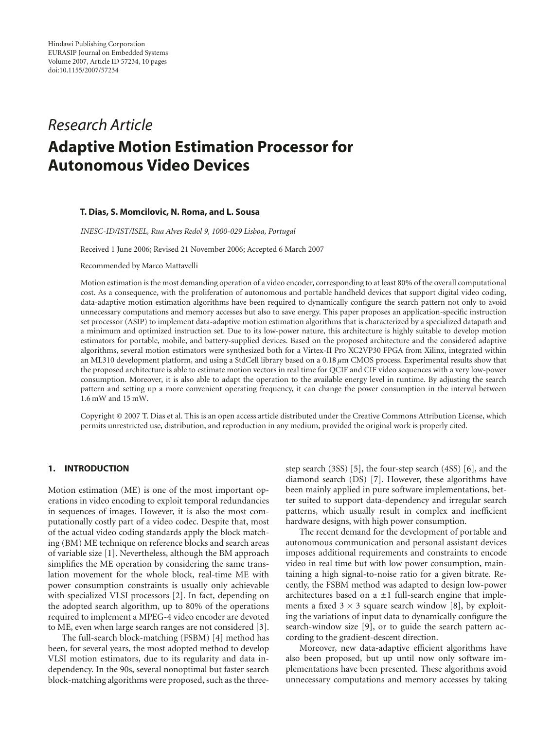# *Research Article* **Adaptive Motion Estimation Processor for Autonomous Video Devices**

#### **T. Dias, S. Momcilovic, N. Roma, and L. Sousa**

*INESC-ID/IST/ISEL, Rua Alves Redol 9, 1000-029 Lisboa, Portugal*

Received 1 June 2006; Revised 21 November 2006; Accepted 6 March 2007

Recommended by Marco Mattavelli

Motion estimation is the most demanding operation of a video encoder, corresponding to at least 80% of the overall computational cost. As a consequence, with the proliferation of autonomous and portable handheld devices that support digital video coding, data-adaptive motion estimation algorithms have been required to dynamically configure the search pattern not only to avoid unnecessary computations and memory accesses but also to save energy. This paper proposes an application-specific instruction set processor (ASIP) to implement data-adaptive motion estimation algorithms that is characterized by a specialized datapath and a minimum and optimized instruction set. Due to its low-power nature, this architecture is highly suitable to develop motion estimators for portable, mobile, and battery-supplied devices. Based on the proposed architecture and the considered adaptive algorithms, several motion estimators were synthesized both for a Virtex-II Pro XC2VP30 FPGA from Xilinx, integrated within an ML310 development platform, and using a StdCell library based on a 0.18 *μ*m CMOS process. Experimental results show that the proposed architecture is able to estimate motion vectors in real time for QCIF and CIF video sequences with a very low-power consumption. Moreover, it is also able to adapt the operation to the available energy level in runtime. By adjusting the search pattern and setting up a more convenient operating frequency, it can change the power consumption in the interval between 1.6 mW and 15 mW.

Copyright © 2007 T. Dias et al. This is an open access article distributed under the Creative Commons Attribution License, which permits unrestricted use, distribution, and reproduction in any medium, provided the original work is properly cited.

# **1. INTRODUCTION**

Motion estimation (ME) is one of the most important operations in video encoding to exploit temporal redundancies in sequences of images. However, it is also the most computationally costly part of a video codec. Despite that, most of the actual video coding standards apply the block matching (BM) ME technique on reference blocks and search areas of variable size [\[1\]](#page-9-1). Nevertheless, although the BM approach simplifies the ME operation by considering the same translation movement for the whole block, real-time ME with power consumption constraints is usually only achievable with specialized VLSI processors [\[2](#page-9-2)]. In fact, depending on the adopted search algorithm, up to 80% of the operations required to implement a MPEG-4 video encoder are devoted to ME, even when large search ranges are not considered [\[3](#page-9-3)].

The full-search block-matching (FSBM) [\[4\]](#page-9-4) method has been, for several years, the most adopted method to develop VLSI motion estimators, due to its regularity and data independency. In the 90s, several nonoptimal but faster search block-matching algorithms were proposed, such as the threestep search (3SS) [\[5\]](#page-9-5), the four-step search (4SS) [\[6\]](#page-9-6), and the diamond search (DS) [\[7](#page-9-7)]. However, these algorithms have been mainly applied in pure software implementations, better suited to support data-dependency and irregular search patterns, which usually result in complex and inefficient hardware designs, with high power consumption.

The recent demand for the development of portable and autonomous communication and personal assistant devices imposes additional requirements and constraints to encode video in real time but with low power consumption, maintaining a high signal-to-noise ratio for a given bitrate. Recently, the FSBM method was adapted to design low-power architectures based on a  $\pm 1$  full-search engine that implements a fixed  $3 \times 3$  square search window [\[8\]](#page-9-8), by exploiting the variations of input data to dynamically configure the search-window size [\[9\]](#page-9-9), or to guide the search pattern according to the gradient-descent direction.

Moreover, new data-adaptive efficient algorithms have also been proposed, but up until now only software implementations have been presented. These algorithms avoid unnecessary computations and memory accesses by taking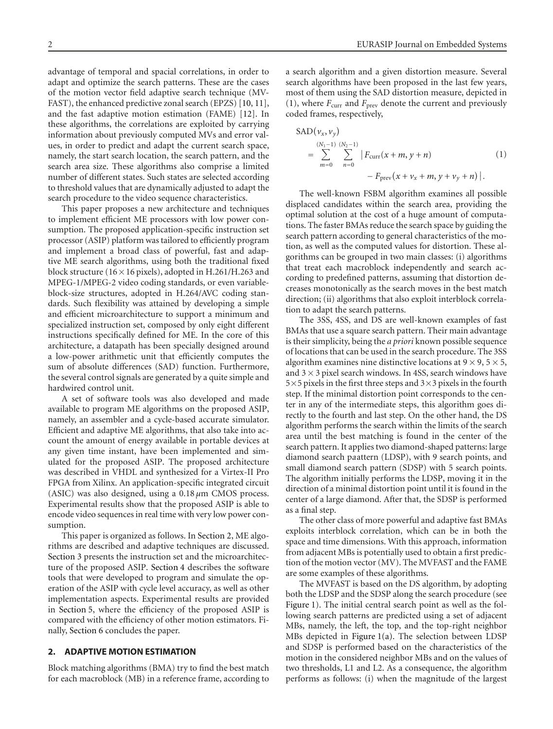advantage of temporal and spacial correlations, in order to adapt and optimize the search patterns. These are the cases of the motion vector field adaptive search technique (MV-FAST), the enhanced predictive zonal search (EPZS) [\[10](#page-9-10), [11](#page-9-11)], and the fast adaptive motion estimation (FAME) [\[12](#page-9-12)]. In these algorithms, the correlations are exploited by carrying information about previously computed MVs and error values, in order to predict and adapt the current search space, namely, the start search location, the search pattern, and the search area size. These algorithms also comprise a limited number of different states. Such states are selected according to threshold values that are dynamically adjusted to adapt the search procedure to the video sequence characteristics.

This paper proposes a new architecture and techniques to implement efficient ME processors with low power consumption. The proposed application-specific instruction set processor (ASIP) platform was tailored to efficiently program and implement a broad class of powerful, fast and adaptive ME search algorithms, using both the traditional fixed block structure ( $16 \times 16$  pixels), adopted in H.261/H.263 and MPEG-1/MPEG-2 video coding standards, or even variableblock-size structures, adopted in H.264/AVC coding standards. Such flexibility was attained by developing a simple and efficient microarchitecture to support a minimum and specialized instruction set, composed by only eight different instructions specifically defined for ME. In the core of this architecture, a datapath has been specially designed around a low-power arithmetic unit that efficiently computes the sum of absolute differences (SAD) function. Furthermore, the several control signals are generated by a quite simple and hardwired control unit.

A set of software tools was also developed and made available to program ME algorithms on the proposed ASIP, namely, an assembler and a cycle-based accurate simulator. Efficient and adaptive ME algorithms, that also take into account the amount of energy available in portable devices at any given time instant, have been implemented and simulated for the proposed ASIP. The proposed architecture was described in VHDL and synthesized for a Virtex-II Pro FPGA from Xilinx. An application-specific integrated circuit (ASIC) was also designed, using a 0.18 *μ*m CMOS process. Experimental results show that the proposed ASIP is able to encode video sequences in real time with very low power consumption.

This paper is organized as follows. In [Section 2,](#page-1-0) ME algorithms are described and adaptive techniques are discussed. [Section 3](#page-2-0) presents the instruction set and the microarchitecture of the proposed ASIP. [Section 4](#page-6-0) describes the software tools that were developed to program and simulate the operation of the ASIP with cycle level accuracy, as well as other implementation aspects. Experimental results are provided in [Section 5,](#page-6-1) where the efficiency of the proposed ASIP is compared with the efficiency of other motion estimators. Finally, [Section 6](#page-9-13) concludes the paper.

# <span id="page-1-0"></span>**2. ADAPTIVE MOTION ESTIMATION**

Block matching algorithms (BMA) try to find the best match for each macroblock (MB) in a reference frame, according to a search algorithm and a given distortion measure. Several search algorithms have been proposed in the last few years, most of them using the SAD distortion measure, depicted in [\(1\)](#page-1-1), where  $F_{\text{curr}}$  and  $F_{\text{prev}}$  denote the current and previously coded frames, respectively,

<span id="page-1-1"></span>
$$
SAD(v_x, v_y)
$$
  
= 
$$
\sum_{m=0}^{(N_1-1)} \sum_{n=0}^{(N_2-1)} |F_{\text{curr}}(x+m, y+n)|
$$
  
-  $F_{\text{prev}}(x+v_x+m, y+v_y+n)|$ . (1)

The well-known FSBM algorithm examines all possible displaced candidates within the search area, providing the optimal solution at the cost of a huge amount of computations. The faster BMAs reduce the search space by guiding the search pattern according to general characteristics of the motion, as well as the computed values for distortion. These algorithms can be grouped in two main classes: (i) algorithms that treat each macroblock independently and search according to predefined patterns, assuming that distortion decreases monotonically as the search moves in the best match direction; (ii) algorithms that also exploit interblock correlation to adapt the search patterns.

The 3SS, 4SS, and DS are well-known examples of fast BMAs that use a square search pattern. Their main advantage is their simplicity, being the *a priori* known possible sequence of locations that can be used in the search procedure. The 3SS algorithm examines nine distinctive locations at  $9 \times 9$ ,  $5 \times 5$ , and  $3 \times 3$  pixel search windows. In 4SS, search windows have  $5\times5$  pixels in the first three steps and  $3\times3$  pixels in the fourth step. If the minimal distortion point corresponds to the center in any of the intermediate steps, this algorithm goes directly to the fourth and last step. On the other hand, the DS algorithm performs the search within the limits of the search area until the best matching is found in the center of the search pattern. It applies two diamond-shaped patterns: large diamond search paattern (LDSP), with 9 search points, and small diamond search pattern (SDSP) with 5 search points. The algorithm initially performs the LDSP, moving it in the direction of a minimal distortion point until it is found in the center of a large diamond. After that, the SDSP is performed as a final step.

The other class of more powerful and adaptive fast BMAs exploits interblock correlation, which can be in both the space and time dimensions. With this approach, information from adjacent MBs is potentially used to obtain a first prediction of the motion vector (MV). The MVFAST and the FAME are some examples of these algorithms.

The MVFAST is based on the DS algorithm, by adopting both the LDSP and the SDSP along the search procedure (see [Figure 1\)](#page-2-1). The initial central search point as well as the following search patterns are predicted using a set of adjacent MBs, namely, the left, the top, and the top-right neighbor MBs depicted in [Figure 1\(a\).](#page-2-2) The selection between LDSP and SDSP is performed based on the characteristics of the motion in the considered neighbor MBs and on the values of two thresholds, L1 and L2. As a consequence, the algorithm performs as follows: (i) when the magnitude of the largest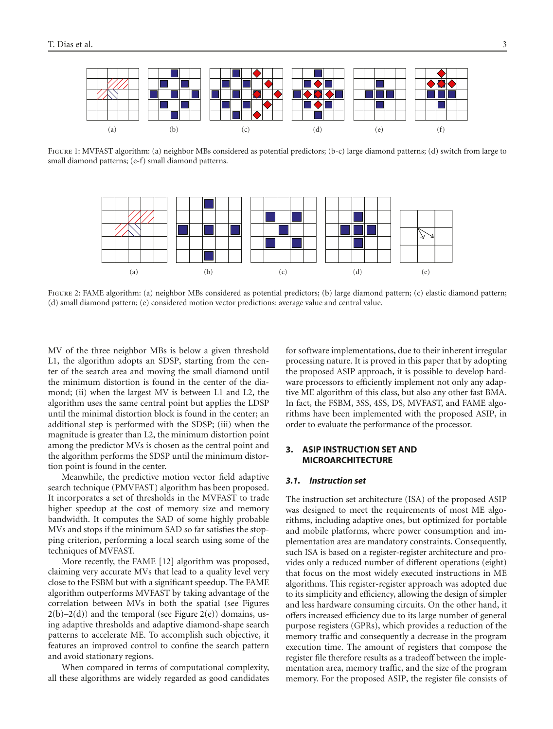<span id="page-2-2"></span>

<span id="page-2-1"></span>Figure 1: MVFAST algorithm: (a) neighbor MBs considered as potential predictors; (b-c) large diamond patterns; (d) switch from large to small diamond patterns; (e-f) small diamond patterns.

<span id="page-2-3"></span>

FIGURE 2: FAME algorithm: (a) neighbor MBs considered as potential predictors; (b) large diamond pattern; (c) elastic diamond pattern; (d) small diamond pattern; (e) considered motion vector predictions: average value and central value.

MV of the three neighbor MBs is below a given threshold L1, the algorithm adopts an SDSP, starting from the center of the search area and moving the small diamond until the minimum distortion is found in the center of the diamond; (ii) when the largest MV is between L1 and L2, the algorithm uses the same central point but applies the LDSP until the minimal distortion block is found in the center; an additional step is performed with the SDSP; (iii) when the magnitude is greater than L2, the minimum distortion point among the predictor MVs is chosen as the central point and the algorithm performs the SDSP until the minimum distortion point is found in the center.

Meanwhile, the predictive motion vector field adaptive search technique (PMVFAST) algorithm has been proposed. It incorporates a set of thresholds in the MVFAST to trade higher speedup at the cost of memory size and memory bandwidth. It computes the SAD of some highly probable MVs and stops if the minimum SAD so far satisfies the stopping criterion, performing a local search using some of the techniques of MVFAST.

More recently, the FAME [\[12](#page-9-12)] algorithm was proposed, claiming very accurate MVs that lead to a quality level very close to the FSBM but with a significant speedup. The FAME algorithm outperforms MVFAST by taking advantage of the correlation between MVs in both the spatial (see Figures  $2(b)-2(d)$  $2(b)-2(d)$  and the temporal (see Figure  $2(e)$ ) domains, using adaptive thresholds and adaptive diamond-shape search patterns to accelerate ME. To accomplish such objective, it features an improved control to confine the search pattern and avoid stationary regions.

When compared in terms of computational complexity, all these algorithms are widely regarded as good candidates <span id="page-2-5"></span><span id="page-2-4"></span>for software implementations, due to their inherent irregular processing nature. It is proved in this paper that by adopting the proposed ASIP approach, it is possible to develop hardware processors to efficiently implement not only any adaptive ME algorithm of this class, but also any other fast BMA. In fact, the FSBM, 3SS, 4SS, DS, MVFAST, and FAME algorithms have been implemented with the proposed ASIP, in order to evaluate the performance of the processor.

# <span id="page-2-0"></span>**3. ASIP INSTRUCTION SET AND MICROARCHITECTURE**

#### *3.1. Instruction set*

The instruction set architecture (ISA) of the proposed ASIP was designed to meet the requirements of most ME algorithms, including adaptive ones, but optimized for portable and mobile platforms, where power consumption and implementation area are mandatory constraints. Consequently, such ISA is based on a register-register architecture and provides only a reduced number of different operations (eight) that focus on the most widely executed instructions in ME algorithms. This register-register approach was adopted due to its simplicity and efficiency, allowing the design of simpler and less hardware consuming circuits. On the other hand, it offers increased efficiency due to its large number of general purpose registers (GPRs), which provides a reduction of the memory traffic and consequently a decrease in the program execution time. The amount of registers that compose the register file therefore results as a tradeoff between the implementation area, memory traffic, and the size of the program memory. For the proposed ASIP, the register file consists of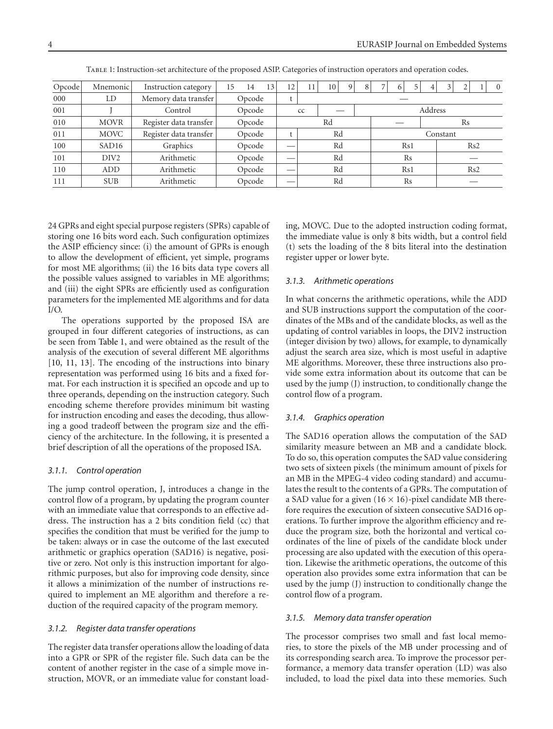<span id="page-3-0"></span>

| Opcode | Mnemonic          | Instruction category   | 13<br>15<br>14 | 12                    | 11                    | 10       | 8<br>9 |          | 6   | 5.<br>4 | 3 I |  |  | $\Omega$ |
|--------|-------------------|------------------------|----------------|-----------------------|-----------------------|----------|--------|----------|-----|---------|-----|--|--|----------|
| 000    | LD                | Memory data transfer   | Opcode         |                       |                       |          |        |          |     |         |     |  |  |          |
| 001    |                   | Control                | Opcode         |                       | cc                    |          |        |          |     | Address |     |  |  |          |
| 010    | <b>MOVR</b>       | Register data transfer | Opcode         |                       |                       | Rd       |        | $\rm Rs$ |     |         |     |  |  |          |
| 011    | <b>MOVC</b>       | Register data transfer | Opcode         | Rd                    |                       | Constant |        |          |     |         |     |  |  |          |
| 100    | SAD <sub>16</sub> | Graphics               | Opcode         |                       | Rd<br>Rs <sub>1</sub> |          | Rs2    |          |     |         |     |  |  |          |
| 101    | DIV <sub>2</sub>  | Arithmetic             | Opcode         |                       |                       | Rd       |        |          | Rs  |         |     |  |  |          |
| 110    | <b>ADD</b>        | Arithmetic             | Opcode         | Rd<br>Rs <sub>1</sub> |                       |          |        |          | Rs2 |         |     |  |  |          |
| 111    | <b>SUB</b>        | Arithmetic             | Opcode         |                       |                       | Rd       |        |          | Rs  |         |     |  |  |          |

Table 1: Instruction-set architecture of the proposed ASIP. Categories of instruction operators and operation codes.

24 GPRs and eight special purpose registers (SPRs) capable of storing one 16 bits word each. Such configuration optimizes the ASIP efficiency since: (i) the amount of GPRs is enough to allow the development of efficient, yet simple, programs for most ME algorithms; (ii) the 16 bits data type covers all the possible values assigned to variables in ME algorithms; and (iii) the eight SPRs are efficiently used as configuration parameters for the implemented ME algorithms and for data  $I/O$ .

The operations supported by the proposed ISA are grouped in four different categories of instructions, as can be seen from [Table 1,](#page-3-0) and were obtained as the result of the analysis of the execution of several different ME algorithms [\[10](#page-9-10), [11](#page-9-11), [13\]](#page-9-14). The encoding of the instructions into binary representation was performed using 16 bits and a fixed format. For each instruction it is specified an opcode and up to three operands, depending on the instruction category. Such encoding scheme therefore provides minimum bit wasting for instruction encoding and eases the decoding, thus allowing a good tradeoff between the program size and the efficiency of the architecture. In the following, it is presented a brief description of all the operations of the proposed ISA.

# *3.1.1. Control operation*

The jump control operation, J, introduces a change in the control flow of a program, by updating the program counter with an immediate value that corresponds to an effective address. The instruction has a 2 bits condition field (cc) that specifies the condition that must be verified for the jump to be taken: always or in case the outcome of the last executed arithmetic or graphics operation (SAD16) is negative, positive or zero. Not only is this instruction important for algorithmic purposes, but also for improving code density, since it allows a minimization of the number of instructions required to implement an ME algorithm and therefore a reduction of the required capacity of the program memory.

# *3.1.2. Register data transfer operations*

The register data transfer operations allow the loading of data into a GPR or SPR of the register file. Such data can be the content of another register in the case of a simple move instruction, MOVR, or an immediate value for constant loading, MOVC. Due to the adopted instruction coding format, the immediate value is only 8 bits width, but a control field (t) sets the loading of the 8 bits literal into the destination register upper or lower byte.

# *3.1.3. Arithmetic operations*

In what concerns the arithmetic operations, while the ADD and SUB instructions support the computation of the coordinates of the MBs and of the candidate blocks, as well as the updating of control variables in loops, the DIV2 instruction (integer division by two) allows, for example, to dynamically adjust the search area size, which is most useful in adaptive ME algorithms. Moreover, these three instructions also provide some extra information about its outcome that can be used by the jump (J) instruction, to conditionally change the control flow of a program.

### *3.1.4. Graphics operation*

The SAD16 operation allows the computation of the SAD similarity measure between an MB and a candidate block. To do so, this operation computes the SAD value considering two sets of sixteen pixels (the minimum amount of pixels for an MB in the MPEG-4 video coding standard) and accumulates the result to the contents of a GPRs. The computation of a SAD value for a given  $(16 \times 16)$ -pixel candidate MB therefore requires the execution of sixteen consecutive SAD16 operations. To further improve the algorithm efficiency and reduce the program size, both the horizontal and vertical coordinates of the line of pixels of the candidate block under processing are also updated with the execution of this operation. Likewise the arithmetic operations, the outcome of this operation also provides some extra information that can be used by the jump (J) instruction to conditionally change the control flow of a program.

#### *3.1.5. Memory data transfer operation*

The processor comprises two small and fast local memories, to store the pixels of the MB under processing and of its corresponding search area. To improve the processor performance, a memory data transfer operation (LD) was also included, to load the pixel data into these memories. Such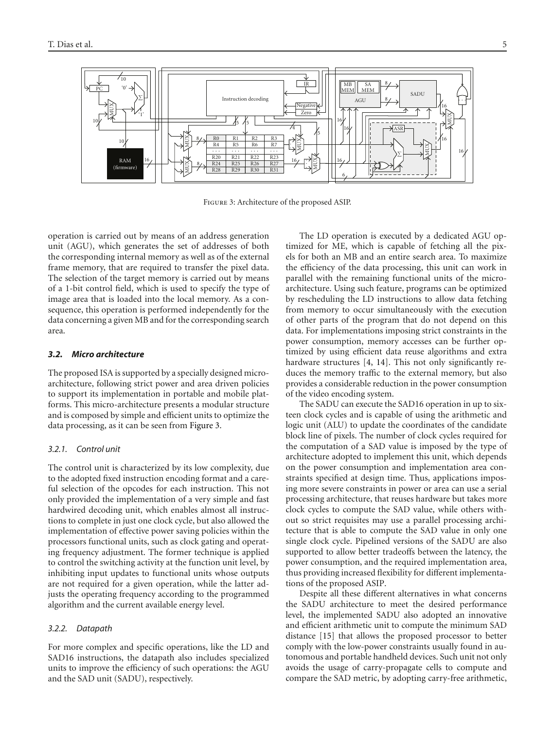

<span id="page-4-0"></span>Figure 3: Architecture of the proposed ASIP.

operation is carried out by means of an address generation unit (AGU), which generates the set of addresses of both the corresponding internal memory as well as of the external frame memory, that are required to transfer the pixel data. The selection of the target memory is carried out by means of a 1-bit control field, which is used to specify the type of image area that is loaded into the local memory. As a consequence, this operation is performed independently for the data concerning a given MB and for the corresponding search area.

### *3.2. Micro architecture*

The proposed ISA is supported by a specially designed microarchitecture, following strict power and area driven policies to support its implementation in portable and mobile platforms. This micro-architecture presents a modular structure and is composed by simple and efficient units to optimize the data processing, as it can be seen from [Figure 3.](#page-4-0)

#### *3.2.1. Control unit*

The control unit is characterized by its low complexity, due to the adopted fixed instruction encoding format and a careful selection of the opcodes for each instruction. This not only provided the implementation of a very simple and fast hardwired decoding unit, which enables almost all instructions to complete in just one clock cycle, but also allowed the implementation of effective power saving policies within the processors functional units, such as clock gating and operating frequency adjustment. The former technique is applied to control the switching activity at the function unit level, by inhibiting input updates to functional units whose outputs are not required for a given operation, while the latter adjusts the operating frequency according to the programmed algorithm and the current available energy level.

#### *3.2.2. Datapath*

For more complex and specific operations, like the LD and SAD16 instructions, the datapath also includes specialized units to improve the efficiency of such operations: the AGU and the SAD unit (SADU), respectively.

The LD operation is executed by a dedicated AGU optimized for ME, which is capable of fetching all the pixels for both an MB and an entire search area. To maximize the efficiency of the data processing, this unit can work in parallel with the remaining functional units of the microarchitecture. Using such feature, programs can be optimized by rescheduling the LD instructions to allow data fetching from memory to occur simultaneously with the execution of other parts of the program that do not depend on this data. For implementations imposing strict constraints in the power consumption, memory accesses can be further optimized by using efficient data reuse algorithms and extra hardware structures [\[4,](#page-9-4) [14](#page-9-15)]. This not only significantly reduces the memory traffic to the external memory, but also provides a considerable reduction in the power consumption of the video encoding system.

The SADU can execute the SAD16 operation in up to sixteen clock cycles and is capable of using the arithmetic and logic unit (ALU) to update the coordinates of the candidate block line of pixels. The number of clock cycles required for the computation of a SAD value is imposed by the type of architecture adopted to implement this unit, which depends on the power consumption and implementation area constraints specified at design time. Thus, applications imposing more severe constraints in power or area can use a serial processing architecture, that reuses hardware but takes more clock cycles to compute the SAD value, while others without so strict requisites may use a parallel processing architecture that is able to compute the SAD value in only one single clock cycle. Pipelined versions of the SADU are also supported to allow better tradeoffs between the latency, the power consumption, and the required implementation area, thus providing increased flexibility for different implementations of the proposed ASIP.

Despite all these different alternatives in what concerns the SADU architecture to meet the desired performance level, the implemented SADU also adopted an innovative and efficient arithmetic unit to compute the minimum SAD distance [\[15\]](#page-9-16) that allows the proposed processor to better comply with the low-power constraints usually found in autonomous and portable handheld devices. Such unit not only avoids the usage of carry-propagate cells to compute and compare the SAD metric, by adopting carry-free arithmetic,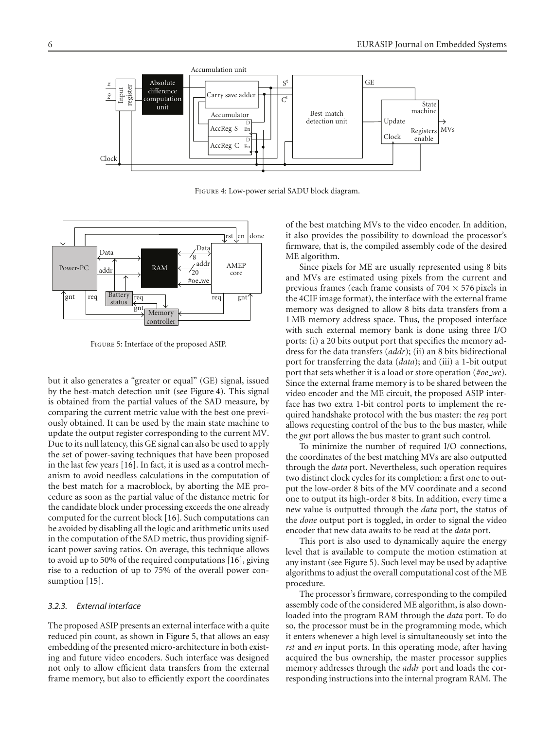

<span id="page-5-0"></span>Figure 4: Low-power serial SADU block diagram.



Figure 5: Interface of the proposed ASIP.

<span id="page-5-1"></span>but it also generates a "greater or equal" (GE) signal, issued by the best-match detection unit (see [Figure 4\)](#page-5-0). This signal is obtained from the partial values of the SAD measure, by comparing the current metric value with the best one previously obtained. It can be used by the main state machine to update the output register corresponding to the current MV. Due to its null latency, this GE signal can also be used to apply the set of power-saving techniques that have been proposed in the last few years [\[16](#page-9-17)]. In fact, it is used as a control mechanism to avoid needless calculations in the computation of the best match for a macroblock, by aborting the ME procedure as soon as the partial value of the distance metric for the candidate block under processing exceeds the one already computed for the current block [\[16](#page-9-17)]. Such computations can be avoided by disabling all the logic and arithmetic units used in the computation of the SAD metric, thus providing significant power saving ratios. On average, this technique allows to avoid up to 50% of the required computations [\[16\]](#page-9-17), giving rise to a reduction of up to 75% of the overall power consumption [\[15](#page-9-16)].

#### *3.2.3. External interface*

The proposed ASIP presents an external interface with a quite reduced pin count, as shown in [Figure 5,](#page-5-1) that allows an easy embedding of the presented micro-architecture in both existing and future video encoders. Such interface was designed not only to allow efficient data transfers from the external frame memory, but also to efficiently export the coordinates

of the best matching MVs to the video encoder. In addition, it also provides the possibility to download the processor's firmware, that is, the compiled assembly code of the desired ME algorithm.

Since pixels for ME are usually represented using 8 bits and MVs are estimated using pixels from the current and previous frames (each frame consists of  $704 \times 576$  pixels in the 4CIF image format), the interface with the external frame memory was designed to allow 8 bits data transfers from a 1 MB memory address space. Thus, the proposed interface with such external memory bank is done using three I/O ports: (i) a 20 bits output port that specifies the memory address for the data transfers (*addr*); (ii) an 8 bits bidirectional port for transferring the data (*data*); and (iii) a 1-bit output port that sets whether it is a load or store operation (*#oe we*). Since the external frame memory is to be shared between the video encoder and the ME circuit, the proposed ASIP interface has two extra 1-bit control ports to implement the required handshake protocol with the bus master: the *req* port allows requesting control of the bus to the bus master, while the *gnt* port allows the bus master to grant such control.

To minimize the number of required I/O connections, the coordinates of the best matching MVs are also outputted through the *data* port. Nevertheless, such operation requires two distinct clock cycles for its completion: a first one to output the low-order 8 bits of the MV coordinate and a second one to output its high-order 8 bits. In addition, every time a new value is outputted through the *data* port, the status of the *done* output port is toggled, in order to signal the video encoder that new data awaits to be read at the *data* port.

This port is also used to dynamically aquire the energy level that is available to compute the motion estimation at any instant (see [Figure 5\)](#page-5-1). Such level may be used by adaptive algorithms to adjust the overall computational cost of the ME procedure.

The processor's firmware, corresponding to the compiled assembly code of the considered ME algorithm, is also downloaded into the program RAM through the *data* port. To do so, the processor must be in the programming mode, which it enters whenever a high level is simultaneously set into the *rst* and *en* input ports. In this operating mode, after having acquired the bus ownership, the master processor supplies memory addresses through the *addr* port and loads the corresponding instructions into the internal program RAM. The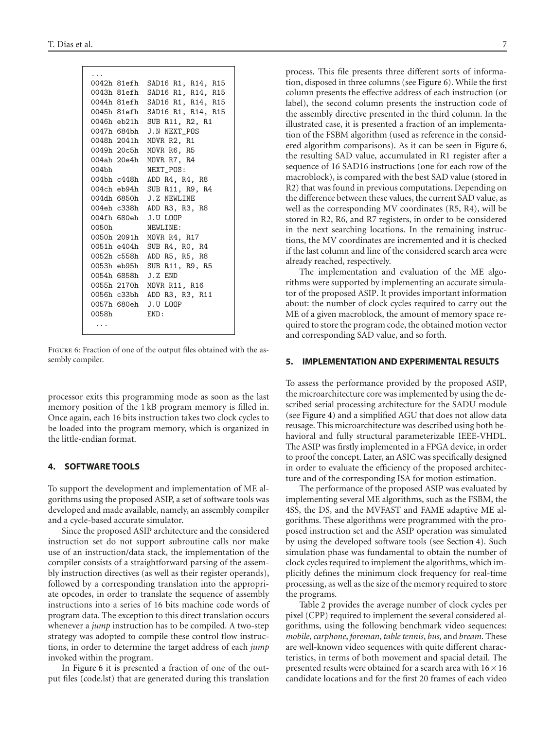|                      | 0042h 81efh SAD16 R1, R14, R15 |
|----------------------|--------------------------------|
|                      | 0043h 81efh SAD16 R1, R14, R15 |
|                      | 0044h 81efh SAD16 R1, R14, R15 |
|                      | 0045h 81efh SAD16 R1, R14, R15 |
|                      | 0046h eb21h SUB R11, R2, R1    |
|                      | 0047h 684bh J.N NEXT_POS       |
|                      | 0048h 2041h MOVR R2, R1        |
|                      | 0049h 20c5h MOVR R6, R5        |
|                      | 004ah 20e4h MOVR R7, R4        |
| 004bh NEXT_POS:      |                                |
|                      | 004bh c448h ADD R4, R4, R8     |
|                      | 004ch eb94h SUB R11, R9, R4    |
|                      | 004dh 6850h J.Z NEWLINE        |
|                      | 004eh c338h ADD R3, R3, R8     |
| 004fh 680eh J.U LOOP |                                |
| 0050h NEWLINE:       |                                |
|                      | 0050h 2091h MOVR R4, R17       |
|                      | 0051h e404h SUB R4, R0, R4     |
|                      | 0052h c558h ADD R5, R5, R8     |
|                      | 0053h eb95h SUB R11, R9, R5    |
| 0054h 6858h J.Z END  |                                |
|                      | 0055h 2170h MOVR R11, R16      |
|                      | 0056h c33bh ADD R3, R3, R11    |
| 0057h 680eh J.U LOOP |                                |
| 0058h                | END:                           |
| $\cdots$             |                                |

<span id="page-6-2"></span>FIGURE 6: Fraction of one of the output files obtained with the assembly compiler.

processor exits this programming mode as soon as the last memory position of the 1 kB program memory is filled in. Once again, each 16 bits instruction takes two clock cycles to be loaded into the program memory, which is organized in the little-endian format.

# <span id="page-6-0"></span>**4. SOFTWARE TOOLS**

To support the development and implementation of ME algorithms using the proposed ASIP, a set of software tools was developed and made available, namely, an assembly compiler and a cycle-based accurate simulator.

Since the proposed ASIP architecture and the considered instruction set do not support subroutine calls nor make use of an instruction/data stack, the implementation of the compiler consists of a straightforward parsing of the assembly instruction directives (as well as their register operands), followed by a corresponding translation into the appropriate opcodes, in order to translate the sequence of assembly instructions into a series of 16 bits machine code words of program data. The exception to this direct translation occurs whenever a *jump* instruction has to be compiled. A two-step strategy was adopted to compile these control flow instructions, in order to determine the target address of each *jump* invoked within the program.

In [Figure 6](#page-6-2) it is presented a fraction of one of the output files (code.lst) that are generated during this translation process. This file presents three different sorts of information, disposed in three columns (see [Figure 6\)](#page-6-2). While the first column presents the effective address of each instruction (or label), the second column presents the instruction code of the assembly directive presented in the third column. In the illustrated case, it is presented a fraction of an implementation of the FSBM algorithm (used as reference in the considered algorithm comparisons). As it can be seen in [Figure 6,](#page-6-2) the resulting SAD value, accumulated in R1 register after a sequence of 16 SAD16 instructions (one for each row of the macroblock), is compared with the best SAD value (stored in R2) that was found in previous computations. Depending on the difference between these values, the current SAD value, as well as the corresponding MV coordinates (R5, R4), will be stored in R2, R6, and R7 registers, in order to be considered in the next searching locations. In the remaining instructions, the MV coordinates are incremented and it is checked

already reached, respectively. The implementation and evaluation of the ME algorithms were supported by implementing an accurate simulator of the proposed ASIP. It provides important information about: the number of clock cycles required to carry out the ME of a given macroblock, the amount of memory space required to store the program code, the obtained motion vector and corresponding SAD value, and so forth.

if the last column and line of the considered search area were

#### <span id="page-6-1"></span>**5. IMPLEMENTATION AND EXPERIMENTAL RESULTS**

To assess the performance provided by the proposed ASIP, the microarchitecture core was implemented by using the described serial processing architecture for the SADU module (see [Figure 4\)](#page-5-0) and a simplified AGU that does not allow data reusage. This microarchitecture was described using both behavioral and fully structural parameterizable IEEE-VHDL. The ASIP was firstly implemented in a FPGA device, in order to proof the concept. Later, an ASIC was specifically designed in order to evaluate the efficiency of the proposed architecture and of the corresponding ISA for motion estimation.

The performance of the proposed ASIP was evaluated by implementing several ME algorithms, such as the FSBM, the 4SS, the DS, and the MVFAST and FAME adaptive ME algorithms. These algorithms were programmed with the proposed instruction set and the ASIP operation was simulated by using the developed software tools (see [Section 4\)](#page-6-0). Such simulation phase was fundamental to obtain the number of clock cycles required to implement the algorithms, which implicitly defines the minimum clock frequency for real-time processing, as well as the size of the memory required to store the programs.

[Table 2](#page-7-0) provides the average number of clock cycles per pixel (CPP) required to implement the several considered algorithms, using the following benchmark video sequences: *mobile*, *carphone*, *foreman*, *table tennis*, *bus,* and *bream*. These are well-known video sequences with quite different characteristics, in terms of both movement and spacial detail. The presented results were obtained for a search area with  $16 \times 16$ candidate locations and for the first 20 frames of each video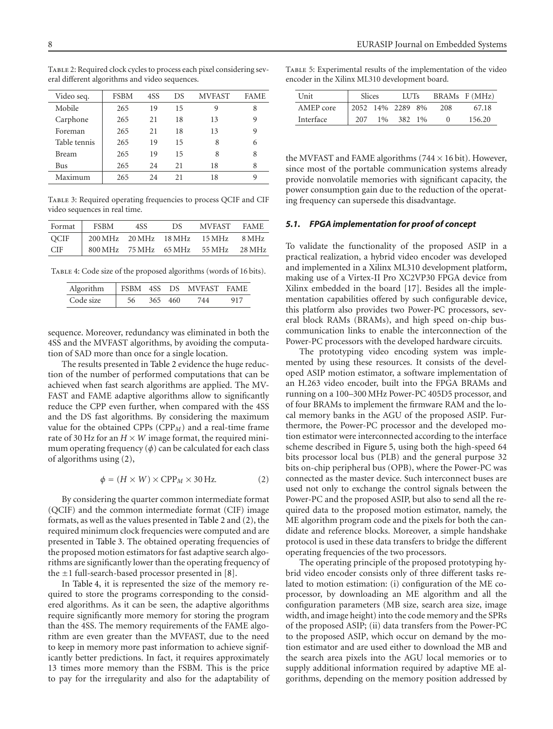Video seq. | FSBM 4SS DS MVFAST FAME Mobile 265 19 15 9 8 Carphone 265 21 18 13 9 Foreman 265 21 18 13 9 Table tennis  $\begin{array}{ccc} 265 & 19 & 15 & 8 & 6 \end{array}$ Bream 265 19 15 8 8 Bus 265 24 21 18 8 Maximum 265 24 21 18 9

Table 3: Required operating frequencies to process QCIF and CIF

<span id="page-7-2"></span>video sequences in real time.

| Format     | <b>FSBM</b>                        | 4SS | DS     | <b>MVFAST</b>      | <b>FAME</b> |
|------------|------------------------------------|-----|--------|--------------------|-------------|
| OCIF       | $200 \text{ MHz}$ $20 \text{ MHz}$ |     | 18 MHz | $15\,\mathrm{MHz}$ | 8 MHz       |
| <b>CIF</b> | 800 MHz 75 MHz 65 MHz              |     |        | 55 MHz             | 28 MHz      |

<span id="page-7-3"></span>Table 4: Code size of the proposed algorithms (words of 16 bits).

| Algorithm  | 4SS — |     | DS MVFAST | FAME |
|------------|-------|-----|-----------|------|
| Code size. | 365   | 160 |           |      |

sequence. Moreover, redundancy was eliminated in both the 4SS and the MVFAST algorithms, by avoiding the computation of SAD more than once for a single location.

The results presented in [Table 2](#page-7-0) evidence the huge reduction of the number of performed computations that can be achieved when fast search algorithms are applied. The MV-FAST and FAME adaptive algorithms allow to significantly reduce the CPP even further, when compared with the 4SS and the DS fast algorithms. By considering the maximum value for the obtained CPPs (CPP*M*) and a real-time frame rate of 30 Hz for an  $H \times W$  image format, the required minimum operating frequency  $(\phi)$  can be calculated for each class of algorithms using [\(2\)](#page-7-1),

<span id="page-7-1"></span>
$$
\phi = (H \times W) \times \text{CPP}_M \times 30 \,\text{Hz.}
$$
 (2)

By considering the quarter common intermediate format (QCIF) and the common intermediate format (CIF) image formats, as well as the values presented in [Table 2](#page-7-0) and [\(2\)](#page-7-1), the required minimum clock frequencies were computed and are presented in [Table 3.](#page-7-2) The obtained operating frequencies of the proposed motion estimators for fast adaptive search algorithms are significantly lower than the operating frequency of the  $\pm 1$  full-search-based processor presented in [\[8\]](#page-9-8).

In [Table 4,](#page-7-3) it is represented the size of the memory required to store the programs corresponding to the considered algorithms. As it can be seen, the adaptive algorithms require significantly more memory for storing the program than the 4SS. The memory requirements of the FAME algorithm are even greater than the MVFAST, due to the need to keep in memory more past information to achieve significantly better predictions. In fact, it requires approximately 13 times more memory than the FSBM. This is the price to pay for the irregularity and also for the adaptability of

<span id="page-7-4"></span>Table 5: Experimental results of the implementation of the video encoder in the Xilinx ML310 development board.

| Unit      | <b>Slices</b> |       | <b>LUTs</b>      |          | BRAMs F (MHz) |  |  |
|-----------|---------------|-------|------------------|----------|---------------|--|--|
| AMEP core |               |       | 2052 14% 2289 8% | 208      | 67.18         |  |  |
| Interface | 207           | $1\%$ | 382 1%           | $\lceil$ | 156.20        |  |  |

the MVFAST and FAME algorithms (744  $\times$  16 bit). However, since most of the portable communication systems already provide nonvolatile memories with significant capacity, the power consumption gain due to the reduction of the operating frequency can supersede this disadvantage.

### *5.1. FPGA implementation for proof of concept*

To validate the functionality of the proposed ASIP in a practical realization, a hybrid video encoder was developed and implemented in a Xilinx ML310 development platform, making use of a Virtex-II Pro XC2VP30 FPGA device from Xilinx embedded in the board [\[17\]](#page-9-18). Besides all the implementation capabilities offered by such configurable device, this platform also provides two Power-PC processors, several block RAMs (BRAMs), and high speed on-chip buscommunication links to enable the interconnection of the Power-PC processors with the developed hardware circuits.

The prototyping video encoding system was implemented by using these resources. It consists of the developed ASIP motion estimator, a software implementation of an H.263 video encoder, built into the FPGA BRAMs and running on a 100–300 MHz Power-PC 405D5 processor, and of four BRAMs to implement the firmware RAM and the local memory banks in the AGU of the proposed ASIP. Furthermore, the Power-PC processor and the developed motion estimator were interconnected according to the interface scheme described in [Figure 5,](#page-5-1) using both the high-speed 64 bits processor local bus (PLB) and the general purpose 32 bits on-chip peripheral bus (OPB), where the Power-PC was connected as the master device. Such interconnect buses are used not only to exchange the control signals between the Power-PC and the proposed ASIP, but also to send all the required data to the proposed motion estimator, namely, the ME algorithm program code and the pixels for both the candidate and reference blocks. Moreover, a simple handshake protocol is used in these data transfers to bridge the different operating frequencies of the two processors.

The operating principle of the proposed prototyping hybrid video encoder consists only of three different tasks related to motion estimation: (i) configuration of the ME coprocessor, by downloading an ME algorithm and all the configuration parameters (MB size, search area size, image width, and image height) into the code memory and the SPRs of the proposed ASIP; (ii) data transfers from the Power-PC to the proposed ASIP, which occur on demand by the motion estimator and are used either to download the MB and the search area pixels into the AGU local memories or to supply additional information required by adaptive ME algorithms, depending on the memory position addressed by

<span id="page-7-0"></span>Table 2: Required clock cycles to process each pixel considering several different algorithms and video sequences.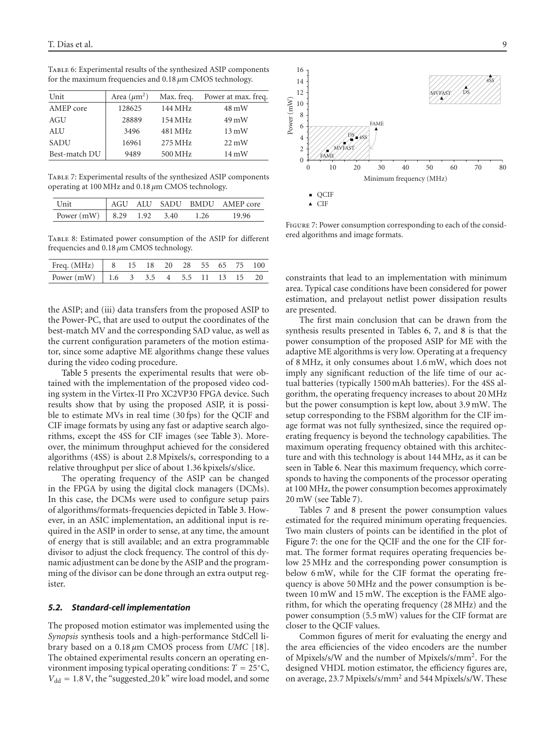<span id="page-8-0"></span>Table 6: Experimental results of the synthesized ASIP components for the maximum frequencies and 0.18 *μ*m CMOS technology.

| Unit          | Area $(\mu m^2)$ | Max. freq. | Power at max. freq. |
|---------------|------------------|------------|---------------------|
| AMEP core     | 128625           | 144 MHz    | $48 \text{ mW}$     |
| AGU           | 28889            | 154 MHz    | $49 \,\mathrm{mW}$  |
| ALU           | 3496             | 481 MHz    | $13 \text{ mW}$     |
| <b>SADU</b>   | 16961            | 275 MHz    | $22 \text{ mW}$     |
| Best-match DU | 9489             | 500 MHz    | $14 \text{ mW}$     |

<span id="page-8-1"></span>Table 7: Experimental results of the synthesized ASIP components operating at 100 MHz and 0.18 *μ*m CMOS technology.

| Unit                          |  |      | AGU ALU SADU BMDU AMEP core |
|-------------------------------|--|------|-----------------------------|
| Power (mW)   $8.29$ 1.92 3.40 |  | 1.26 | 19.96                       |

<span id="page-8-2"></span>Table 8: Estimated power consumption of the ASIP for different frequencies and 0.18 *μ*m CMOS technology.

| Freq. (MHz)   8 15 18 20 28 55 65 75 100 |  |  |  |  |  |
|------------------------------------------|--|--|--|--|--|
| Power (mW) 1.6 3 3.5 4 5.5 11 13 15 20   |  |  |  |  |  |

the ASIP; and (iii) data transfers from the proposed ASIP to the Power-PC, that are used to output the coordinates of the best-match MV and the corresponding SAD value, as well as the current configuration parameters of the motion estimator, since some adaptive ME algorithms change these values during the video coding procedure.

[Table 5](#page-7-4) presents the experimental results that were obtained with the implementation of the proposed video coding system in the Virtex-II Pro XC2VP30 FPGA device. Such results show that by using the proposed ASIP, it is possible to estimate MVs in real time (30 fps) for the QCIF and CIF image formats by using any fast or adaptive search algorithms, except the 4SS for CIF images (see [Table 3\)](#page-7-2). Moreover, the minimum throughput achieved for the considered algorithms (4SS) is about 2.8 Mpixels/s, corresponding to a relative throughput per slice of about 1.36 kpixels/s/slice.

The operating frequency of the ASIP can be changed in the FPGA by using the digital clock managers (DCMs). In this case, the DCMs were used to configure setup pairs of algorithms/formats-frequencies depicted in [Table 3.](#page-7-2) However, in an ASIC implementation, an additional input is required in the ASIP in order to sense, at any time, the amount of energy that is still available; and an extra programmable divisor to adjust the clock frequency. The control of this dynamic adjustment can be done by the ASIP and the programming of the divisor can be done through an extra output register.

#### *5.2. Standard-cell implementation*

The proposed motion estimator was implemented using the *Synopsis* synthesis tools and a high-performance StdCell library based on a 0.18 *μ*m CMOS process from *UMC* [\[18](#page-9-19)]. The obtained experimental results concern an operating environment imposing typical operating conditions:  $T = 25 °C$ ,  $V_{dd} = 1.8$  V, the "suggested 20 k" wire load model, and some



<span id="page-8-3"></span>Figure 7: Power consumption corresponding to each of the considered algorithms and image formats.

constraints that lead to an implementation with minimum area. Typical case conditions have been considered for power estimation, and prelayout netlist power dissipation results are presented.

The first main conclusion that can be drawn from the synthesis results presented in Tables [6,](#page-8-0) [7,](#page-8-1) and [8](#page-8-2) is that the power consumption of the proposed ASIP for ME with the adaptive ME algorithms is very low. Operating at a frequency of 8 MHz, it only consumes about 1.6 mW, which does not imply any significant reduction of the life time of our actual batteries (typically 1500 mAh batteries). For the 4SS algorithm, the operating frequency increases to about 20 MHz but the power consumption is kept low, about 3.9 mW. The setup corresponding to the FSBM algorithm for the CIF image format was not fully synthesized, since the required operating frequency is beyond the technology capabilities. The maximum operating frequency obtained with this architecture and with this technology is about 144 MHz, as it can be seen in [Table 6.](#page-8-0) Near this maximum frequency, which corresponds to having the components of the processor operating at 100 MHz, the power consumption becomes approximately 20 mW (see [Table 7\)](#page-8-1).

Tables [7](#page-8-1) and [8](#page-8-2) present the power consumption values estimated for the required minimum operating frequencies. Two main clusters of points can be identified in the plot of [Figure 7:](#page-8-3) the one for the QCIF and the one for the CIF format. The former format requires operating frequencies below 25 MHz and the corresponding power consumption is below 6 mW, while for the CIF format the operating frequency is above 50 MHz and the power consumption is between 10 mW and 15 mW. The exception is the FAME algorithm, for which the operating frequency (28 MHz) and the power consumption (5.5 mW) values for the CIF format are closer to the QCIF values.

Common figures of merit for evaluating the energy and the area efficiencies of the video encoders are the number of Mpixels/s/W and the number of Mpixels/s/mm2. For the designed VHDL motion estimator, the efficiency figures are, on average, 23*.*7 Mpixels/s/mm<sup>2</sup> and 544 Mpixels/s/W. These